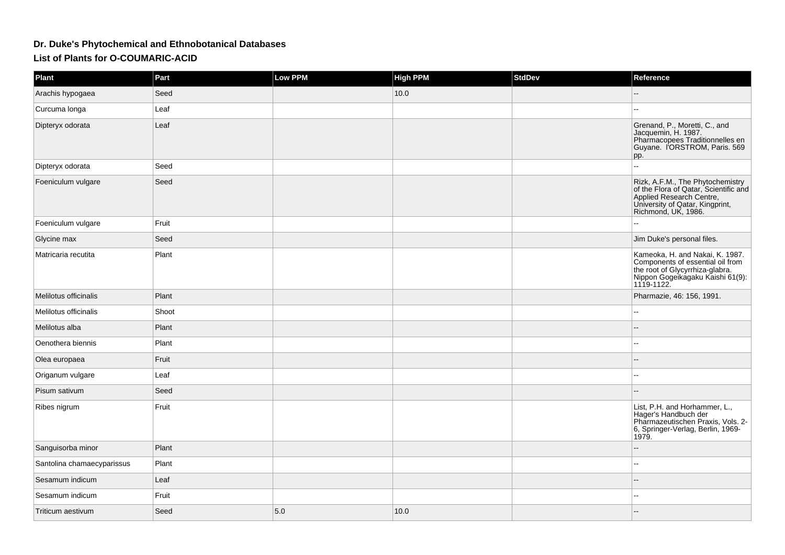## **Dr. Duke's Phytochemical and Ethnobotanical Databases**

**List of Plants for O-COUMARIC-ACID**

| Plant                      | Part  | Low PPM | <b>High PPM</b> | <b>StdDev</b> | Reference                                                                                                                                                       |
|----------------------------|-------|---------|-----------------|---------------|-----------------------------------------------------------------------------------------------------------------------------------------------------------------|
| Arachis hypogaea           | Seed  |         | 10.0            |               |                                                                                                                                                                 |
| Curcuma longa              | Leaf  |         |                 |               | $\sim$                                                                                                                                                          |
| Dipteryx odorata           | Leaf  |         |                 |               | Grenand, P., Moretti, C., and<br>Jacquemin, H. 1987.<br>Pharmacopees Traditionnelles en<br>Guyane. I'ORSTROM, Paris. 569<br>pp.                                 |
| Dipteryx odorata           | Seed  |         |                 |               | $\ddotsc$                                                                                                                                                       |
| Foeniculum vulgare         | Seed  |         |                 |               | Rizk, A.F.M., The Phytochemistry<br>of the Flora of Qatar, Scientific and<br>Applied Research Centre,<br>University of Qatar, Kingprint,<br>Richmond, UK, 1986. |
| Foeniculum vulgare         | Fruit |         |                 |               | $\sim$                                                                                                                                                          |
| Glycine max                | Seed  |         |                 |               | Jim Duke's personal files.                                                                                                                                      |
| Matricaria recutita        | Plant |         |                 |               | Kameoka, H. and Nakai, K. 1987.<br>Components of essential oil from<br>the root of Glycyrrhiza-glabra.<br>Nippon Gogeikagaku Kaishi 61(9):<br>1119-1122.        |
| Melilotus officinalis      | Plant |         |                 |               | Pharmazie, 46: 156, 1991.                                                                                                                                       |
| Melilotus officinalis      | Shoot |         |                 |               | $\overline{a}$                                                                                                                                                  |
| Melilotus alba             | Plant |         |                 |               |                                                                                                                                                                 |
| Oenothera biennis          | Plant |         |                 |               |                                                                                                                                                                 |
| Olea europaea              | Fruit |         |                 |               |                                                                                                                                                                 |
| Origanum vulgare           | Leaf  |         |                 |               |                                                                                                                                                                 |
| Pisum sativum              | Seed  |         |                 |               | $\sim$ $\sim$                                                                                                                                                   |
| Ribes nigrum               | Fruit |         |                 |               | List, P.H. and Horhammer, L.,<br>Hager's Handbuch der<br>Pharmazeutischen Praxis, Vols. 2-<br>6, Springer-Verlag, Berlin, 1969-<br>1979.                        |
| Sanguisorba minor          | Plant |         |                 |               |                                                                                                                                                                 |
| Santolina chamaecyparissus | Plant |         |                 |               | $\sim$                                                                                                                                                          |
| Sesamum indicum            | Leaf  |         |                 |               | $\sim$                                                                                                                                                          |
| Sesamum indicum            | Fruit |         |                 |               | $\sim$                                                                                                                                                          |
| Triticum aestivum          | Seed  | 5.0     | 10.0            |               | $-$                                                                                                                                                             |